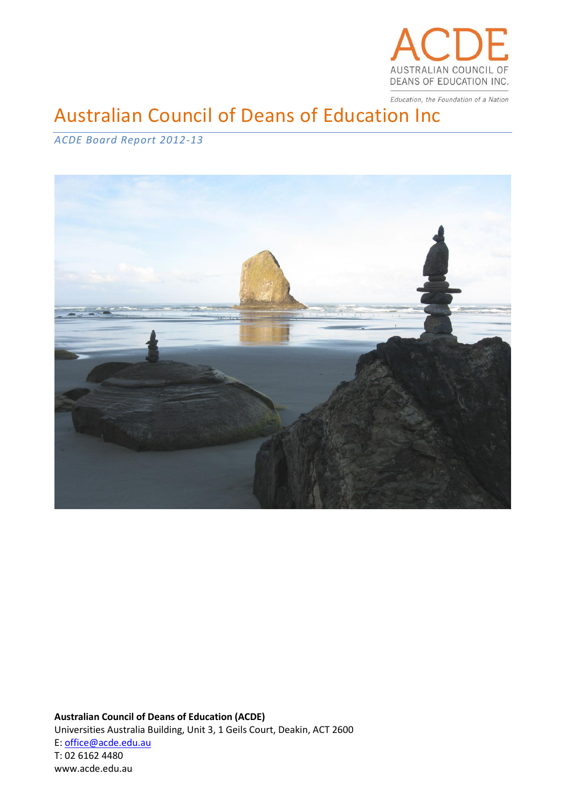

Education, the Foundation of a Nation

# Australian Council of Deans of Education Inc

# *ACDE Board Report 2012-13*



**Australian Council of Deans of Education (ACDE)** Universities Australia Building, Unit 3, 1 Geils Court, Deakin, ACT 2600 E: office@acde.edu.au T: 02 6162 4480 www.acde.edu.au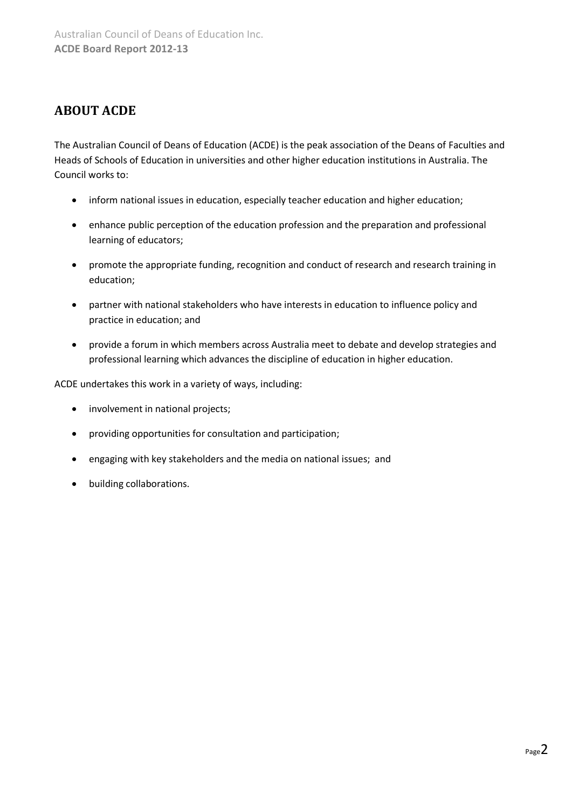# **ABOUT ACDE**

The Australian Council of Deans of Education (ACDE) is the peak association of the Deans of Faculties and Heads of Schools of Education in universities and other higher education institutions in Australia. The Council works to:

- inform national issues in education, especially teacher education and higher education;
- enhance public perception of the education profession and the preparation and professional learning of educators;
- promote the appropriate funding, recognition and conduct of research and research training in education;
- partner with national stakeholders who have interests in education to influence policy and practice in education; and
- provide a forum in which members across Australia meet to debate and develop strategies and professional learning which advances the discipline of education in higher education.

ACDE undertakes this work in a variety of ways, including:

- involvement in national projects;
- providing opportunities for consultation and participation;
- engaging with key stakeholders and the media on national issues; and
- building collaborations.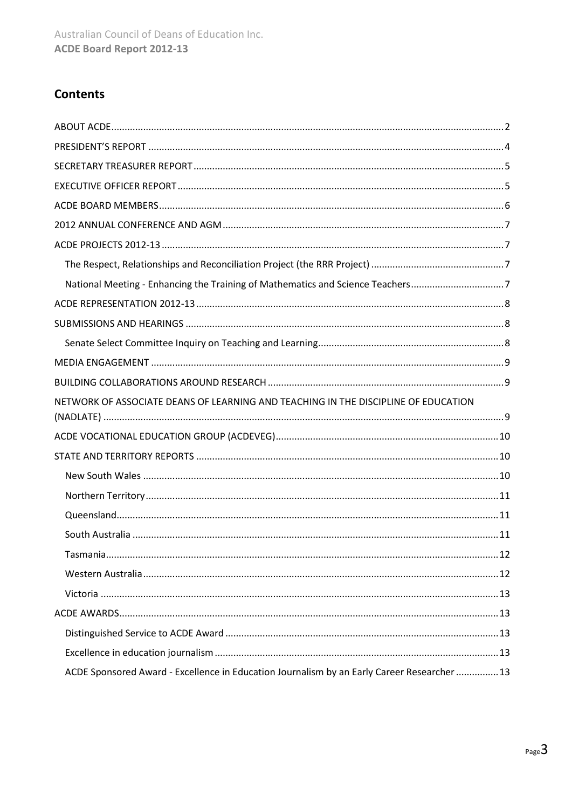# **Contents**

| National Meeting - Enhancing the Training of Mathematics and Science Teachers7              |
|---------------------------------------------------------------------------------------------|
|                                                                                             |
|                                                                                             |
|                                                                                             |
|                                                                                             |
|                                                                                             |
| NETWORK OF ASSOCIATE DEANS OF LEARNING AND TEACHING IN THE DISCIPLINE OF EDUCATION          |
|                                                                                             |
|                                                                                             |
|                                                                                             |
|                                                                                             |
|                                                                                             |
|                                                                                             |
|                                                                                             |
|                                                                                             |
|                                                                                             |
|                                                                                             |
|                                                                                             |
|                                                                                             |
| ACDE Sponsored Award - Excellence in Education Journalism by an Early Career Researcher  13 |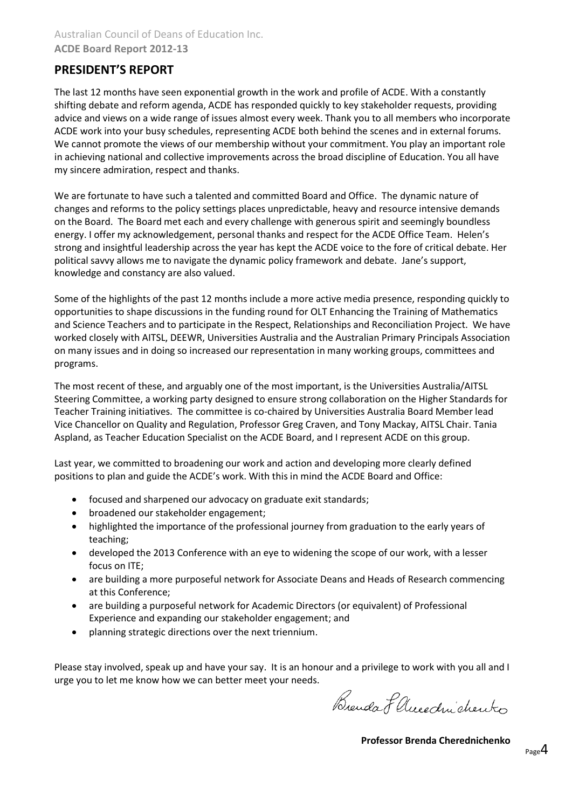# **PRESIDENT'S REPORT**

The last 12 months have seen exponential growth in the work and profile of ACDE. With a constantly shifting debate and reform agenda, ACDE has responded quickly to key stakeholder requests, providing advice and views on a wide range of issues almost every week. Thank you to all members who incorporate ACDE work into your busy schedules, representing ACDE both behind the scenes and in external forums. We cannot promote the views of our membership without your commitment. You play an important role in achieving national and collective improvements across the broad discipline of Education. You all have my sincere admiration, respect and thanks.

We are fortunate to have such a talented and committed Board and Office. The dynamic nature of changes and reforms to the policy settings places unpredictable, heavy and resource intensive demands on the Board. The Board met each and every challenge with generous spirit and seemingly boundless energy. I offer my acknowledgement, personal thanks and respect for the ACDE Office Team. Helen's strong and insightful leadership across the year has kept the ACDE voice to the fore of critical debate. Her political savvy allows me to navigate the dynamic policy framework and debate. Jane's support, knowledge and constancy are also valued.

Some of the highlights of the past 12 months include a more active media presence, responding quickly to opportunities to shape discussions in the funding round for OLT Enhancing the Training of Mathematics and Science Teachers and to participate in the Respect, Relationships and Reconciliation Project. We have worked closely with AITSL, DEEWR, Universities Australia and the Australian Primary Principals Association on many issues and in doing so increased our representation in many working groups, committees and programs.

The most recent of these, and arguably one of the most important, is the Universities Australia/AITSL Steering Committee, a working party designed to ensure strong collaboration on the Higher Standards for Teacher Training initiatives. The committee is co-chaired by Universities Australia Board Member lead Vice Chancellor on Quality and Regulation, Professor Greg Craven, and Tony Mackay, AITSL Chair. Tania Aspland, as Teacher Education Specialist on the ACDE Board, and I represent ACDE on this group.

Last year, we committed to broadening our work and action and developing more clearly defined positions to plan and guide the ACDE's work. With this in mind the ACDE Board and Office:

- focused and sharpened our advocacy on graduate exit standards;
- broadened our stakeholder engagement;
- highlighted the importance of the professional journey from graduation to the early years of teaching;
- developed the 2013 Conference with an eye to widening the scope of our work, with a lesser focus on ITE;
- are building a more purposeful network for Associate Deans and Heads of Research commencing at this Conference;
- are building a purposeful network for Academic Directors (or equivalent) of Professional Experience and expanding our stakeholder engagement; and
- planning strategic directions over the next triennium.

Please stay involved, speak up and have your say. It is an honour and a privilege to work with you all and I urge you to let me know how we can better meet your needs.

Brenda & Aucedin chento

**Professor Brenda Cherednichenko**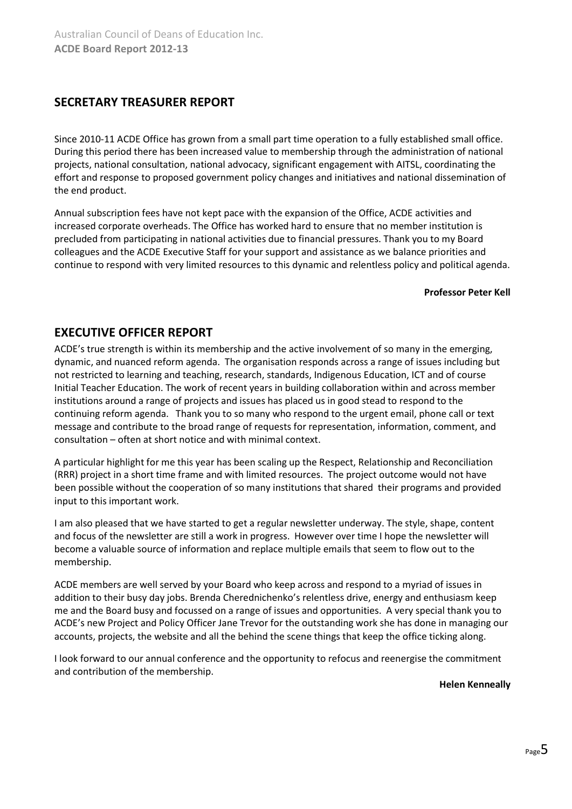### **SECRETARY TREASURER REPORT**

Since 2010-11 ACDE Office has grown from a small part time operation to a fully established small office. During this period there has been increased value to membership through the administration of national projects, national consultation, national advocacy, significant engagement with AITSL, coordinating the effort and response to proposed government policy changes and initiatives and national dissemination of the end product.

Annual subscription fees have not kept pace with the expansion of the Office, ACDE activities and increased corporate overheads. The Office has worked hard to ensure that no member institution is precluded from participating in national activities due to financial pressures. Thank you to my Board colleagues and the ACDE Executive Staff for your support and assistance as we balance priorities and continue to respond with very limited resources to this dynamic and relentless policy and political agenda.

#### **Professor Peter Kell**

### **EXECUTIVE OFFICER REPORT**

ACDE's true strength is within its membership and the active involvement of so many in the emerging, dynamic, and nuanced reform agenda. The organisation responds across a range of issues including but not restricted to learning and teaching, research, standards, Indigenous Education, ICT and of course Initial Teacher Education. The work of recent years in building collaboration within and across member institutions around a range of projects and issues has placed us in good stead to respond to the continuing reform agenda. Thank you to so many who respond to the urgent email, phone call or text message and contribute to the broad range of requests for representation, information, comment, and consultation – often at short notice and with minimal context.

A particular highlight for me this year has been scaling up the Respect, Relationship and Reconciliation (RRR) project in a short time frame and with limited resources. The project outcome would not have been possible without the cooperation of so many institutions that shared their programs and provided input to this important work.

I am also pleased that we have started to get a regular newsletter underway. The style, shape, content and focus of the newsletter are still a work in progress. However over time I hope the newsletter will become a valuable source of information and replace multiple emails that seem to flow out to the membership.

ACDE members are well served by your Board who keep across and respond to a myriad of issues in addition to their busy day jobs. Brenda Cherednichenko's relentless drive, energy and enthusiasm keep me and the Board busy and focussed on a range of issues and opportunities. A very special thank you to ACDE's new Project and Policy Officer Jane Trevor for the outstanding work she has done in managing our accounts, projects, the website and all the behind the scene things that keep the office ticking along.

I look forward to our annual conference and the opportunity to refocus and reenergise the commitment and contribution of the membership.

#### **Helen Kenneally**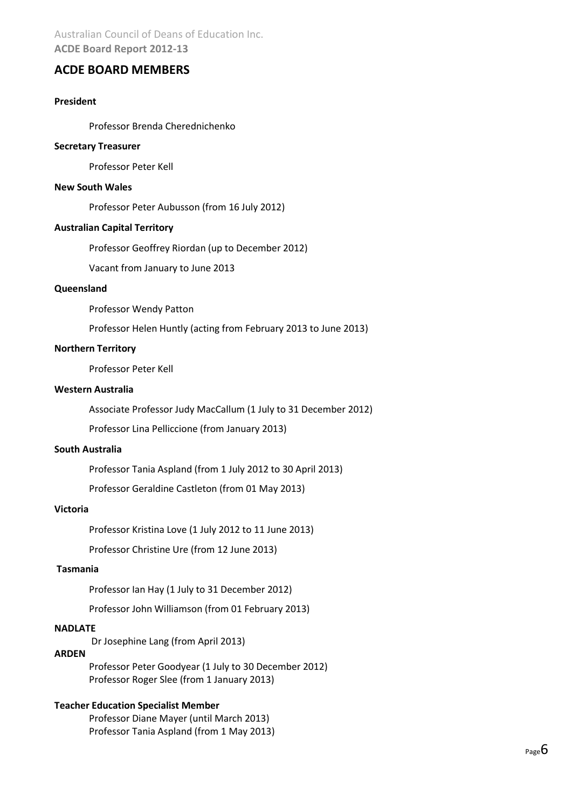Australian Council of Deans of Education Inc. **ACDE Board Report 2012-13**

### **ACDE BOARD MEMBERS**

### **President**

Professor Brenda Cherednichenko

#### **Secretary Treasurer**

Professor Peter Kell

#### **New South Wales**

Professor Peter Aubusson (from 16 July 2012)

#### **Australian Capital Territory**

Professor Geoffrey Riordan (up to December 2012)

Vacant from January to June 2013

#### **Queensland**

Professor Wendy Patton

Professor Helen Huntly (acting from February 2013 to June 2013)

#### **Northern Territory**

Professor Peter Kell

#### **Western Australia**

Associate Professor Judy MacCallum (1 July to 31 December 2012)

Professor Lina Pelliccione (from January 2013)

#### **South Australia**

Professor Tania Aspland (from 1 July 2012 to 30 April 2013)

Professor Geraldine Castleton (from 01 May 2013)

#### **Victoria**

Professor Kristina Love (1 July 2012 to 11 June 2013)

Professor Christine Ure (from 12 June 2013)

#### **Tasmania**

Professor Ian Hay (1 July to 31 December 2012)

Professor John Williamson (from 01 February 2013)

#### **NADLATE**

Dr Josephine Lang (from April 2013)

#### **ARDEN**

Professor Peter Goodyear (1 July to 30 December 2012) Professor Roger Slee (from 1 January 2013)

#### **Teacher Education Specialist Member**

Professor Diane Mayer (until March 2013) Professor Tania Aspland (from 1 May 2013)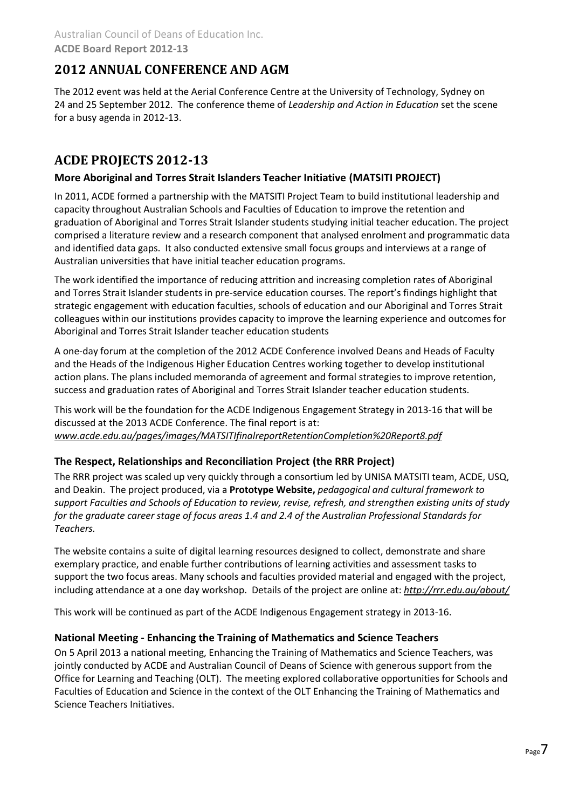# **2012 ANNUAL CONFERENCE AND AGM**

The 2012 event was held at the Aerial Conference Centre at the University of Technology, Sydney on 24 and 25 September 2012. The conference theme of *Leadership and Action in Education* set the scene for a busy agenda in 2012-13.

# **ACDE PROJECTS 2012-13**

### **More Aboriginal and Torres Strait Islanders Teacher Initiative (MATSITI PROJECT)**

In 2011, ACDE formed a partnership with the MATSITI Project Team to build institutional leadership and capacity throughout Australian Schools and Faculties of Education to improve the retention and graduation of Aboriginal and Torres Strait Islander students studying initial teacher education. The project comprised a literature review and a research component that analysed enrolment and programmatic data and identified data gaps. It also conducted extensive small focus groups and interviews at a range of Australian universities that have initial teacher education programs.

The work identified the importance of reducing attrition and increasing completion rates of Aboriginal and Torres Strait Islander students in pre-service education courses. The report's findings highlight that strategic engagement with education faculties, schools of education and our Aboriginal and Torres Strait colleagues within our institutions provides capacity to improve the learning experience and outcomes for Aboriginal and Torres Strait Islander teacher education students

A one-day forum at the completion of the 2012 ACDE Conference involved Deans and Heads of Faculty and the Heads of the Indigenous Higher Education Centres working together to develop institutional action plans. The plans included memoranda of agreement and formal strategies to improve retention, success and graduation rates of Aboriginal and Torres Strait Islander teacher education students.

This work will be the foundation for the ACDE Indigenous Engagement Strategy in 2013-16 that will be discussed at the 2013 ACDE Conference. The final report is at: *[www.acde.edu.au/pages/images/MATSITIfinalreportRetentionCompletion%20Report8.pdf](file:///C:/Users/ACDE/Dropbox/Governance/Annual%20Report/2012-13/www.acde.edu.au/pages/images/MATSITIfinalreportRetentionCompletion%20Report8.pdf)*

### **The Respect, Relationships and Reconciliation Project (the RRR Project)**

The RRR project was scaled up very quickly through a consortium led by UNISA MATSITI team, ACDE, USQ, and Deakin. The project produced, via a **Prototype Website,** *pedagogical and cultural framework to support Faculties and Schools of Education to review, revise, refresh, and strengthen existing units of study for the graduate career stage of focus areas 1.4 and 2.4 of the Australian Professional Standards for Teachers.*

The website contains a suite of digital learning resources designed to collect, demonstrate and share exemplary practice, and enable further contributions of learning activities and assessment tasks to support the two focus areas. Many schools and faculties provided material and engaged with the project, including attendance at a one day workshop. Details of the project are online at: *<http://rrr.edu.au/about/>*

This work will be continued as part of the ACDE Indigenous Engagement strategy in 2013-16.

### **National Meeting - Enhancing the Training of Mathematics and Science Teachers**

On 5 April 2013 a national meeting, Enhancing the Training of Mathematics and Science Teachers, was jointly conducted by ACDE and Australian Council of Deans of Science with generous support from the Office for Learning and Teaching (OLT). The meeting explored collaborative opportunities for Schools and Faculties of Education and Science in the context of the OLT Enhancing the Training of Mathematics and Science Teachers Initiatives.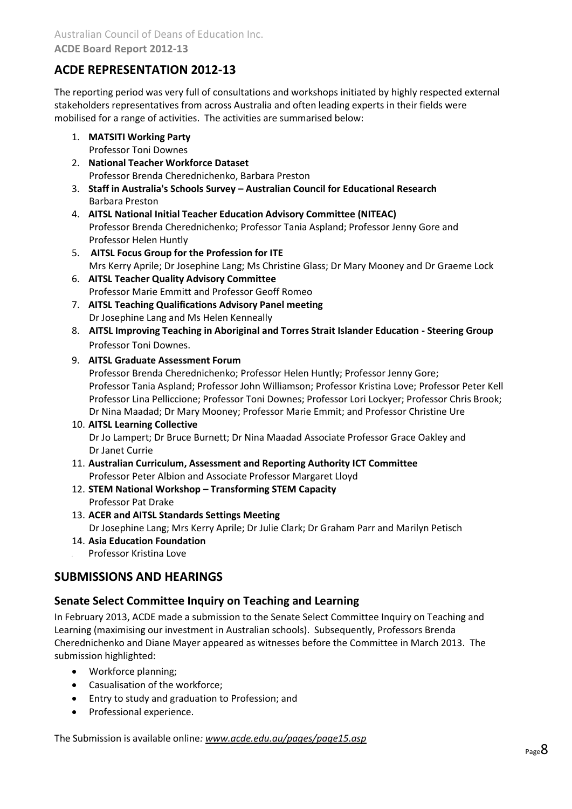# **ACDE REPRESENTATION 2012-13**

The reporting period was very full of consultations and workshops initiated by highly respected external stakeholders representatives from across Australia and often leading experts in their fields were mobilised for a range of activities. The activities are summarised below:

- 1. **MATSITI Working Party** Professor Toni Downes
- 2. **National Teacher Workforce Dataset**

Professor Brenda Cherednichenko, Barbara Preston

- 3. **Staff in Australia's Schools Survey – Australian Council for Educational Research** Barbara Preston
- 4. **AITSL National Initial Teacher Education Advisory Committee (NITEAC)** Professor Brenda Cherednichenko; Professor Tania Aspland; Professor Jenny Gore and Professor Helen Huntly
- 5. **AITSL Focus Group for the Profession for ITE**  Mrs Kerry Aprile; Dr Josephine Lang; Ms Christine Glass; Dr Mary Mooney and Dr Graeme Lock
- 6. **AITSL Teacher Quality Advisory Committee** Professor Marie Emmitt and Professor Geoff Romeo
- 7. **AITSL Teaching Qualifications Advisory Panel meeting**  Dr Josephine Lang and Ms Helen Kenneally
- 8. **AITSL Improving Teaching in Aboriginal and Torres Strait Islander Education - Steering Group**  Professor Toni Downes.

### 9. **AITSL Graduate Assessment Forum**

Professor Brenda Cherednichenko; Professor Helen Huntly; Professor Jenny Gore; Professor Tania Aspland; Professor John Williamson; Professor Kristina Love; Professor Peter Kell Professor Lina Pelliccione; Professor Toni Downes; Professor Lori Lockyer; Professor Chris Brook; Dr Nina Maadad; Dr Mary Mooney; Professor Marie Emmit; and Professor Christine Ure

### 10. **AITSL Learning Collective**

Dr Jo Lampert; Dr Bruce Burnett; Dr Nina Maadad Associate Professor Grace Oakley and Dr Janet Currie

- 11. **Australian Curriculum, Assessment and Reporting Authority ICT Committee** Professor Peter Albion and Associate Professor Margaret Lloyd
- 12. **STEM National Workshop – Transforming STEM Capacity** Professor Pat Drake
- 13. **ACER and AITSL Standards Settings Meeting**  Dr Josephine Lang; Mrs Kerry Aprile; Dr Julie Clark; Dr Graham Parr and Marilyn Petisch
- 14. **Asia Education Foundation**
	- 15 . Professor Kristina Love

# **SUBMISSIONS AND HEARINGS**

### **Senate Select Committee Inquiry on Teaching and Learning**

In February 2013, ACDE made a submission to the Senate Select Committee Inquiry on Teaching and Learning (maximising our investment in Australian schools). Subsequently, Professors Brenda Cherednichenko and Diane Mayer appeared as witnesses before the Committee in March 2013. The submission highlighted:

- Workforce planning;
- Casualisation of the workforce;
- Entry to study and graduation to Profession; and
- Professional experience.

The Submission is available online*[: www.acde.edu.au/pages/page15.asp](file:///C:/Users/ACDE/Dropbox/Governance/Annual%20Report/2012-13/www.acde.edu.au/pages/page15.asp)*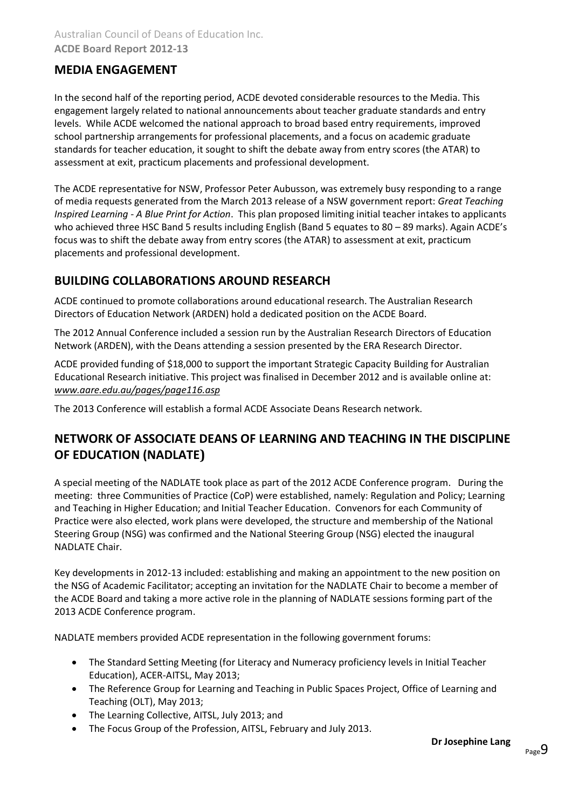## **MEDIA ENGAGEMENT**

In the second half of the reporting period, ACDE devoted considerable resources to the Media. This engagement largely related to national announcements about teacher graduate standards and entry levels. While ACDE welcomed the national approach to broad based entry requirements, improved school partnership arrangements for professional placements, and a focus on academic graduate standards for teacher education, it sought to shift the debate away from entry scores (the ATAR) to assessment at exit, practicum placements and professional development.

The ACDE representative for NSW, Professor Peter Aubusson, was extremely busy responding to a range of media requests generated from the March 2013 release of a NSW government report: *Great Teaching Inspired Learning - A Blue Print for Action*. This plan proposed limiting initial teacher intakes to applicants who achieved three HSC Band 5 results including English (Band 5 equates to 80 – 89 marks). Again ACDE's focus was to shift the debate away from entry scores (the ATAR) to assessment at exit, practicum placements and professional development.

# **BUILDING COLLABORATIONS AROUND RESEARCH**

ACDE continued to promote collaborations around educational research. The Australian Research Directors of Education Network (ARDEN) hold a dedicated position on the ACDE Board.

The 2012 Annual Conference included a session run by the Australian Research Directors of Education Network (ARDEN), with the Deans attending a session presented by the ERA Research Director.

ACDE provided funding of \$18,000 to support the important Strategic Capacity Building for Australian Educational Research initiative. This project was finalised in December 2012 and is available online at: *[www.aare.edu.au/pages/page116.asp](file:///C:/Users/ACDE/Dropbox/Governance/Annual%20Report/2012-13/www.aare.edu.au/pages/page116.asp)*

The 2013 Conference will establish a formal ACDE Associate Deans Research network.

# **NETWORK OF ASSOCIATE DEANS OF LEARNING AND TEACHING IN THE DISCIPLINE OF EDUCATION (NADLATE)**

A special meeting of the NADLATE took place as part of the 2012 ACDE Conference program. During the meeting: three Communities of Practice (CoP) were established, namely: Regulation and Policy; Learning and Teaching in Higher Education; and Initial Teacher Education. Convenors for each Community of Practice were also elected, work plans were developed, the structure and membership of the National Steering Group (NSG) was confirmed and the National Steering Group (NSG) elected the inaugural NADLATE Chair.

Key developments in 2012-13 included: establishing and making an appointment to the new position on the NSG of Academic Facilitator; accepting an invitation for the NADLATE Chair to become a member of the ACDE Board and taking a more active role in the planning of NADLATE sessions forming part of the 2013 ACDE Conference program.

NADLATE members provided ACDE representation in the following government forums:

- The Standard Setting Meeting (for Literacy and Numeracy proficiency levels in Initial Teacher Education), ACER-AITSL, May 2013;
- The Reference Group for Learning and Teaching in Public Spaces Project, Office of Learning and Teaching (OLT), May 2013;
- The Learning Collective, AITSL, July 2013; and
- The Focus Group of the Profession, AITSL, February and July 2013.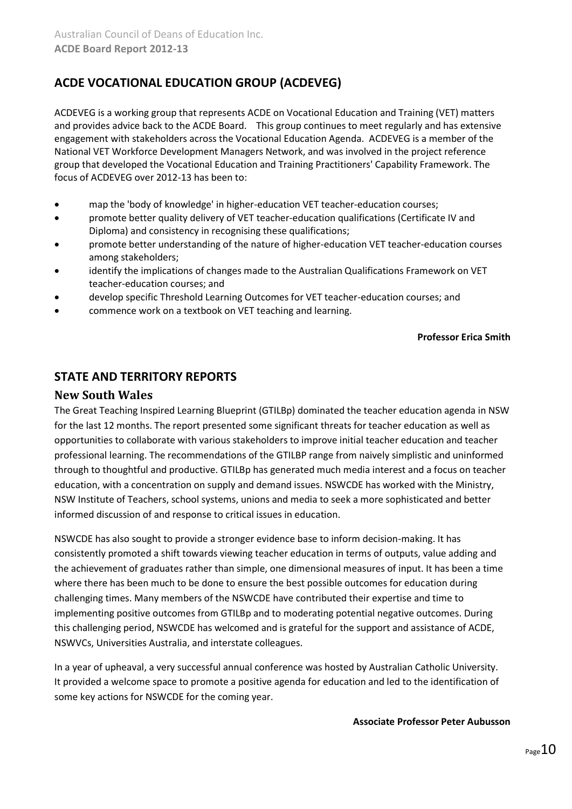# **ACDE VOCATIONAL EDUCATION GROUP (ACDEVEG)**

ACDEVEG is a working group that represents ACDE on Vocational Education and Training (VET) matters and provides advice back to the ACDE Board. This group continues to meet regularly and has extensive engagement with stakeholders across the Vocational Education Agenda. ACDEVEG is a member of the National VET Workforce Development Managers Network, and was involved in the project reference group that developed the Vocational Education and Training Practitioners' Capability Framework. The focus of ACDEVEG over 2012-13 has been to:

- map the 'body of knowledge' in higher-education VET teacher-education courses;
- promote better quality delivery of VET teacher-education qualifications (Certificate IV and Diploma) and consistency in recognising these qualifications;
- promote better understanding of the nature of higher-education VET teacher-education courses among stakeholders;
- identify the implications of changes made to the Australian Qualifications Framework on VET teacher-education courses; and
- develop specific Threshold Learning Outcomes for VET teacher-education courses; and
- commence work on a textbook on VET teaching and learning.

### **Professor Erica Smith**

# **STATE AND TERRITORY REPORTS**

### **New South Wales**

The Great Teaching Inspired Learning Blueprint (GTILBp) dominated the teacher education agenda in NSW for the last 12 months. The report presented some significant threats for teacher education as well as opportunities to collaborate with various stakeholders to improve initial teacher education and teacher professional learning. The recommendations of the GTILBP range from naively simplistic and uninformed through to thoughtful and productive. GTILBp has generated much media interest and a focus on teacher education, with a concentration on supply and demand issues. NSWCDE has worked with the Ministry, NSW Institute of Teachers, school systems, unions and media to seek a more sophisticated and better informed discussion of and response to critical issues in education.

NSWCDE has also sought to provide a stronger evidence base to inform decision-making. It has consistently promoted a shift towards viewing teacher education in terms of outputs, value adding and the achievement of graduates rather than simple, one dimensional measures of input. It has been a time where there has been much to be done to ensure the best possible outcomes for education during challenging times. Many members of the NSWCDE have contributed their expertise and time to implementing positive outcomes from GTILBp and to moderating potential negative outcomes. During this challenging period, NSWCDE has welcomed and is grateful for the support and assistance of ACDE, NSWVCs, Universities Australia, and interstate colleagues.

In a year of upheaval, a very successful annual conference was hosted by Australian Catholic University. It provided a welcome space to promote a positive agenda for education and led to the identification of some key actions for NSWCDE for the coming year.

### **Associate Professor Peter Aubusson**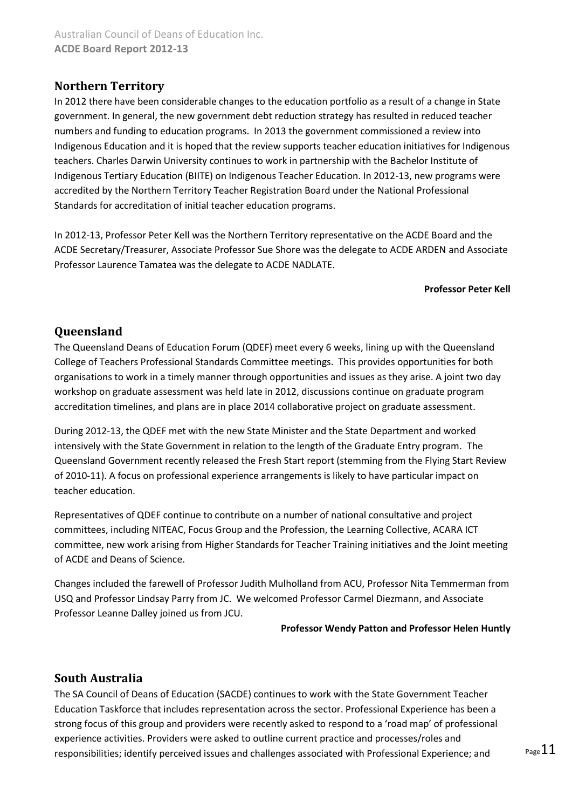# **Northern Territory**

In 2012 there have been considerable changes to the education portfolio as a result of a change in State government. In general, the new government debt reduction strategy has resulted in reduced teacher numbers and funding to education programs. In 2013 the government commissioned a review into Indigenous Education and it is hoped that the review supports teacher education initiatives for Indigenous teachers. Charles Darwin University continues to work in partnership with the Bachelor Institute of Indigenous Tertiary Education (BIITE) on Indigenous Teacher Education. In 2012-13, new programs were accredited by the Northern Territory Teacher Registration Board under the National Professional Standards for accreditation of initial teacher education programs.

In 2012-13, Professor Peter Kell was the Northern Territory representative on the ACDE Board and the ACDE Secretary/Treasurer, Associate Professor Sue Shore was the delegate to ACDE ARDEN and Associate Professor Laurence Tamatea was the delegate to ACDE NADLATE.

### **Professor Peter Kell**

### **Queensland**

The Queensland Deans of Education Forum (QDEF) meet every 6 weeks, lining up with the Queensland College of Teachers Professional Standards Committee meetings. This provides opportunities for both organisations to work in a timely manner through opportunities and issues as they arise. A joint two day workshop on graduate assessment was held late in 2012, discussions continue on graduate program accreditation timelines, and plans are in place 2014 collaborative project on graduate assessment.

During 2012-13, the QDEF met with the new State Minister and the State Department and worked intensively with the State Government in relation to the length of the Graduate Entry program. The Queensland Government recently released the Fresh Start report (stemming from the Flying Start Review of 2010-11). A focus on professional experience arrangements is likely to have particular impact on teacher education.

Representatives of QDEF continue to contribute on a number of national consultative and project committees, including NITEAC, Focus Group and the Profession, the Learning Collective, ACARA ICT committee, new work arising from Higher Standards for Teacher Training initiatives and the Joint meeting of ACDE and Deans of Science.

Changes included the farewell of Professor Judith Mulholland from ACU, Professor Nita Temmerman from USQ and Professor Lindsay Parry from JC. We welcomed Professor Carmel Diezmann, and Associate Professor Leanne Dalley joined us from JCU.

#### **Professor Wendy Patton and Professor Helen Huntly**

### **South Australia**

The SA Council of Deans of Education (SACDE) continues to work with the State Government Teacher Education Taskforce that includes representation across the sector. Professional Experience has been a strong focus of this group and providers were recently asked to respond to a 'road map' of professional experience activities. Providers were asked to outline current practice and processes/roles and responsibilities; identify perceived issues and challenges associated with Professional Experience; and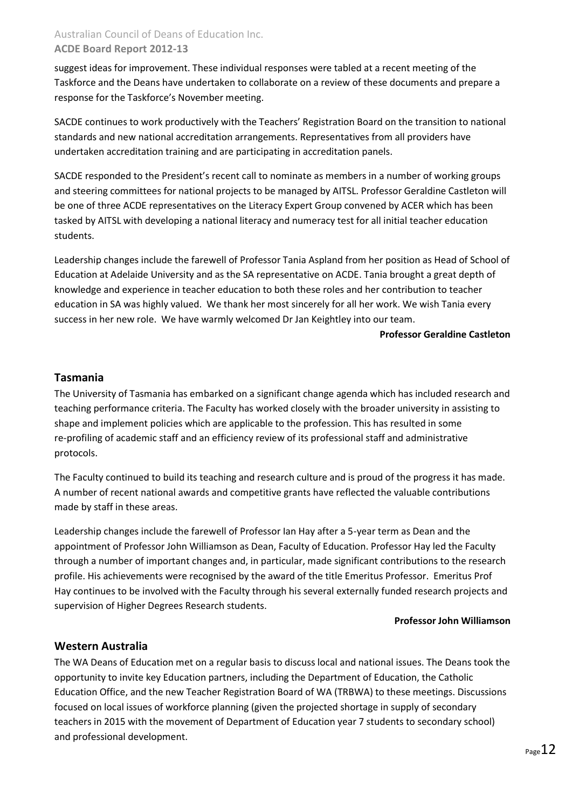### Australian Council of Deans of Education Inc. **ACDE Board Report 2012-13**

suggest ideas for improvement. These individual responses were tabled at a recent meeting of the Taskforce and the Deans have undertaken to collaborate on a review of these documents and prepare a response for the Taskforce's November meeting.

SACDE continues to work productively with the Teachers' Registration Board on the transition to national standards and new national accreditation arrangements. Representatives from all providers have undertaken accreditation training and are participating in accreditation panels.

SACDE responded to the President's recent call to nominate as members in a number of working groups and steering committees for national projects to be managed by AITSL. Professor Geraldine Castleton will be one of three ACDE representatives on the Literacy Expert Group convened by ACER which has been tasked by AITSL with developing a national literacy and numeracy test for all initial teacher education students.

Leadership changes include the farewell of Professor Tania Aspland from her position as Head of School of Education at Adelaide University and as the SA representative on ACDE. Tania brought a great depth of knowledge and experience in teacher education to both these roles and her contribution to teacher education in SA was highly valued. We thank her most sincerely for all her work. We wish Tania every success in her new role. We have warmly welcomed Dr Jan Keightley into our team.

### **Professor Geraldine Castleton**

### **Tasmania**

The University of Tasmania has embarked on a significant change agenda which has included research and teaching performance criteria. The Faculty has worked closely with the broader university in assisting to shape and implement policies which are applicable to the profession. This has resulted in some re-profiling of academic staff and an efficiency review of its professional staff and administrative protocols.

The Faculty continued to build its teaching and research culture and is proud of the progress it has made. A number of recent national awards and competitive grants have reflected the valuable contributions made by staff in these areas.

Leadership changes include the farewell of Professor Ian Hay after a 5-year term as Dean and the appointment of Professor John Williamson as Dean, Faculty of Education. Professor Hay led the Faculty through a number of important changes and, in particular, made significant contributions to the research profile. His achievements were recognised by the award of the title Emeritus Professor. Emeritus Prof Hay continues to be involved with the Faculty through his several externally funded research projects and supervision of Higher Degrees Research students.

#### **Professor John Williamson**

### **Western Australia**

The WA Deans of Education met on a regular basis to discuss local and national issues. The Deans took the opportunity to invite key Education partners, including the Department of Education, the Catholic Education Office, and the new Teacher Registration Board of WA (TRBWA) to these meetings. Discussions focused on local issues of workforce planning (given the projected shortage in supply of secondary teachers in 2015 with the movement of Department of Education year 7 students to secondary school) and professional development.